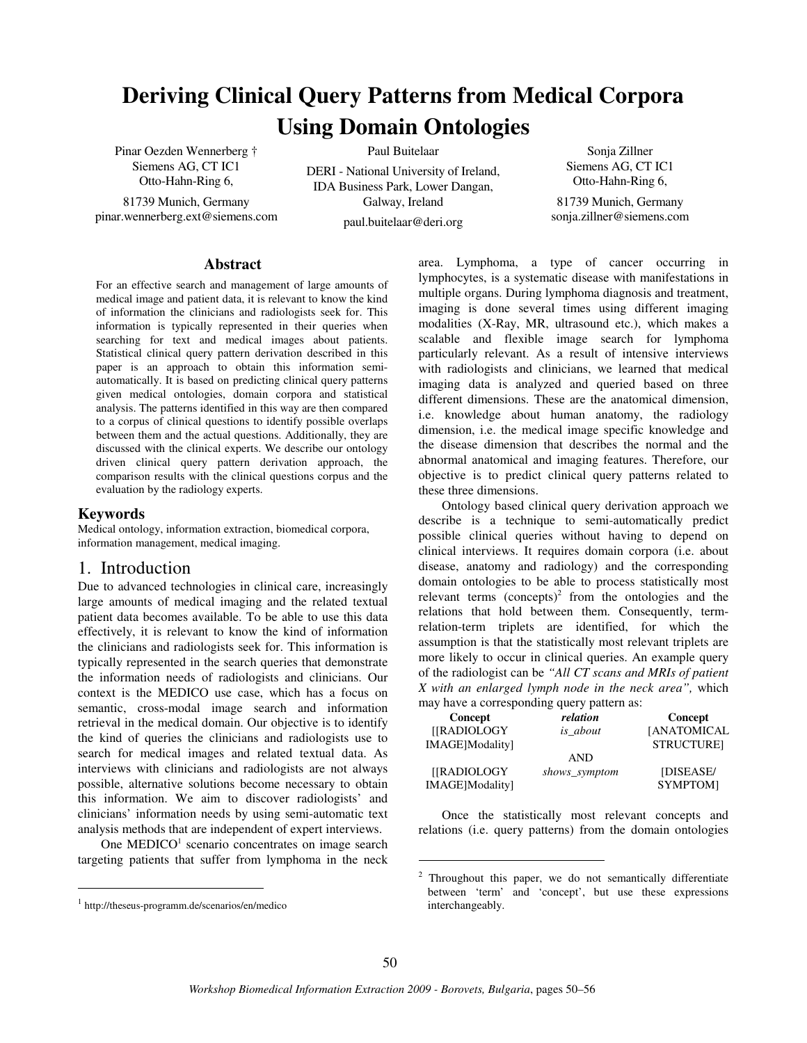# **Deriving Clinical Query Patterns from Medical Corpora Using Domain Ontologies**

Pinar Oezden Wennerberg † Siemens AG, CT IC1 Otto-Hahn-Ring 6,

81739 Munich, Germany pinar.wennerberg.ext@siemens.com Paul Buitelaar

DERI - National University of Ireland, IDA Business Park, Lower Dangan, Galway, Ireland

paul.buitelaar@deri.org

Sonja Zillner Siemens AG, CT IC1 Otto-Hahn-Ring 6, 81739 Munich, Germany sonja.zillner@siemens.com

#### **Abstract**

For an effective search and management of large amounts of medical image and patient data, it is relevant to know the kind of information the clinicians and radiologists seek for. This information is typically represented in their queries when searching for text and medical images about patients. Statistical clinical query pattern derivation described in this paper is an approach to obtain this information semiautomatically. It is based on predicting clinical query patterns given medical ontologies, domain corpora and statistical analysis. The patterns identified in this way are then compared to a corpus of clinical questions to identify possible overlaps between them and the actual questions. Additionally, they are discussed with the clinical experts. We describe our ontology driven clinical query pattern derivation approach, the comparison results with the clinical questions corpus and the evaluation by the radiology experts.

#### **Keywords**

j

Medical ontology, information extraction, biomedical corpora, information management, medical imaging.

## 1. Introduction

Due to advanced technologies in clinical care, increasingly large amounts of medical imaging and the related textual patient data becomes available. To be able to use this data effectively, it is relevant to know the kind of information the clinicians and radiologists seek for. This information is typically represented in the search queries that demonstrate the information needs of radiologists and clinicians. Our context is the MEDICO use case, which has a focus on semantic, cross-modal image search and information retrieval in the medical domain. Our objective is to identify the kind of queries the clinicians and radiologists use to search for medical images and related textual data. As interviews with clinicians and radiologists are not always possible, alternative solutions become necessary to obtain this information. We aim to discover radiologists' and clinicians' information needs by using semi-automatic text analysis methods that are independent of expert interviews.

One MEDICO<sup>1</sup> scenario concentrates on image search targeting patients that suffer from lymphoma in the neck area. Lymphoma, a type of cancer occurring in lymphocytes, is a systematic disease with manifestations in multiple organs. During lymphoma diagnosis and treatment, imaging is done several times using different imaging modalities (X-Ray, MR, ultrasound etc.), which makes a scalable and flexible image search for lymphoma particularly relevant. As a result of intensive interviews with radiologists and clinicians, we learned that medical imaging data is analyzed and queried based on three different dimensions. These are the anatomical dimension, i.e. knowledge about human anatomy, the radiology dimension, i.e. the medical image specific knowledge and the disease dimension that describes the normal and the abnormal anatomical and imaging features. Therefore, our objective is to predict clinical query patterns related to these three dimensions.

Ontology based clinical query derivation approach we describe is a technique to semi-automatically predict possible clinical queries without having to depend on clinical interviews. It requires domain corpora (i.e. about disease, anatomy and radiology) and the corresponding domain ontologies to be able to process statistically most relevant terms  $(concepts)^2$  from the ontologies and the relations that hold between them. Consequently, termrelation-term triplets are identified, for which the assumption is that the statistically most relevant triplets are more likely to occur in clinical queries. An example query of the radiologist can be *"All CT scans and MRIs of patient X with an enlarged lymph node in the neck area",* which may have a corresponding query pattern as:

| Concept         | relation        | Concept            |
|-----------------|-----------------|--------------------|
| [[RADIOLOGY     | <i>is</i> about | <b>[ANATOMICAL</b> |
| IMAGE]Modality] |                 | <b>STRUCTUREI</b>  |
|                 | <b>AND</b>      |                    |
| [[RADIOLOGY     | shows_symptom   | [DISEASE/          |
| IMAGE]Modality] |                 | SYMPTOM]           |

Once the statistically most relevant concepts and relations (i.e. query patterns) from the domain ontologies

j

<sup>1</sup> http://theseus-programm.de/scenarios/en/medico

 $2$  Throughout this paper, we do not semantically differentiate between 'term' and 'concept', but use these expressions interchangeably.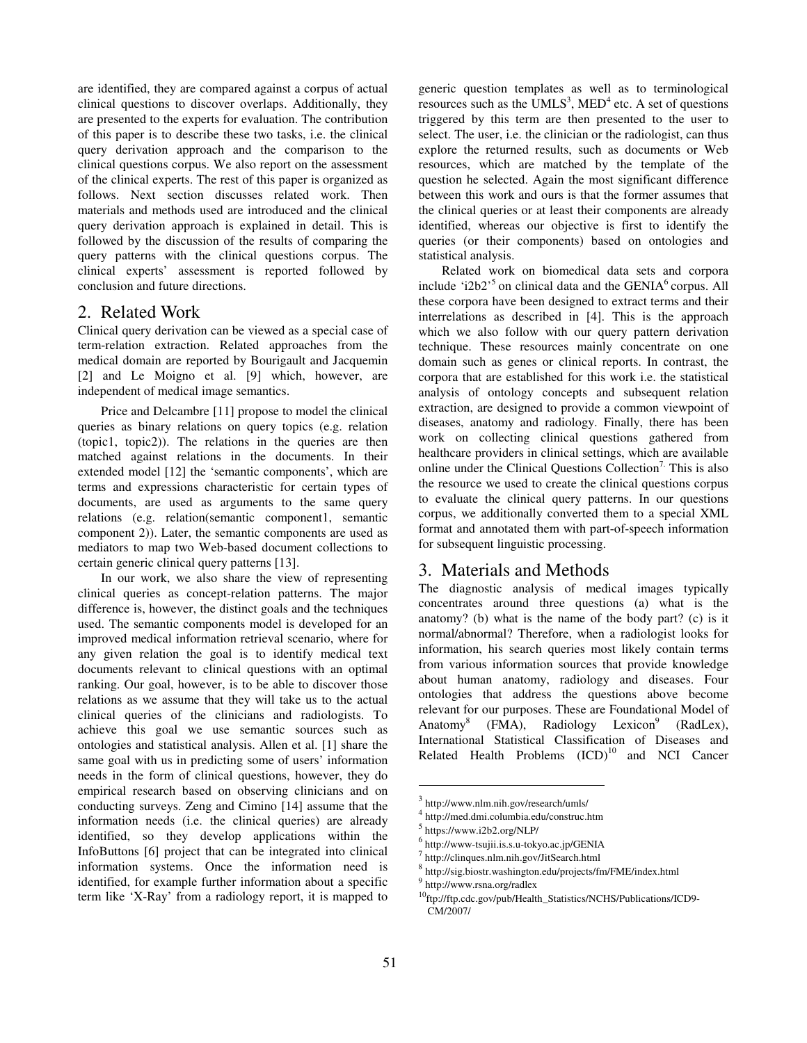are identified, they are compared against a corpus of actual clinical questions to discover overlaps. Additionally, they are presented to the experts for evaluation. The contribution of this paper is to describe these two tasks, i.e. the clinical query derivation approach and the comparison to the clinical questions corpus. We also report on the assessment of the clinical experts. The rest of this paper is organized as follows. Next section discusses related work. Then materials and methods used are introduced and the clinical query derivation approach is explained in detail. This is followed by the discussion of the results of comparing the query patterns with the clinical questions corpus. The clinical experts' assessment is reported followed by conclusion and future directions.

## 2. Related Work

Clinical query derivation can be viewed as a special case of term-relation extraction. Related approaches from the medical domain are reported by Bourigault and Jacquemin [2] and Le Moigno et al. [9] which, however, are independent of medical image semantics.

Price and Delcambre [11] propose to model the clinical queries as binary relations on query topics (e.g. relation (topic1, topic2)). The relations in the queries are then matched against relations in the documents. In their extended model [12] the 'semantic components', which are terms and expressions characteristic for certain types of documents, are used as arguments to the same query relations (e.g. relation(semantic component1, semantic component 2)). Later, the semantic components are used as mediators to map two Web-based document collections to certain generic clinical query patterns [13].

In our work, we also share the view of representing clinical queries as concept-relation patterns. The major difference is, however, the distinct goals and the techniques used. The semantic components model is developed for an improved medical information retrieval scenario, where for any given relation the goal is to identify medical text documents relevant to clinical questions with an optimal ranking. Our goal, however, is to be able to discover those relations as we assume that they will take us to the actual clinical queries of the clinicians and radiologists. To achieve this goal we use semantic sources such as ontologies and statistical analysis. Allen et al. [1] share the same goal with us in predicting some of users' information needs in the form of clinical questions, however, they do empirical research based on observing clinicians and on conducting surveys. Zeng and Cimino [14] assume that the information needs (i.e. the clinical queries) are already identified, so they develop applications within the InfoButtons [6] project that can be integrated into clinical information systems. Once the information need is identified, for example further information about a specific term like 'X-Ray' from a radiology report, it is mapped to

generic question templates as well as to terminological resources such as the UMLS<sup>3</sup>, MED<sup>4</sup> etc. A set of questions triggered by this term are then presented to the user to select. The user, i.e. the clinician or the radiologist, can thus explore the returned results, such as documents or Web resources, which are matched by the template of the question he selected. Again the most significant difference between this work and ours is that the former assumes that the clinical queries or at least their components are already identified, whereas our objective is first to identify the queries (or their components) based on ontologies and statistical analysis.

Related work on biomedical data sets and corpora include ' $i2b2$ <sup>5</sup> on clinical data and the GENIA<sup>6</sup> corpus. All these corpora have been designed to extract terms and their interrelations as described in [4]. This is the approach which we also follow with our query pattern derivation technique. These resources mainly concentrate on one domain such as genes or clinical reports. In contrast, the corpora that are established for this work i.e. the statistical analysis of ontology concepts and subsequent relation extraction, are designed to provide a common viewpoint of diseases, anatomy and radiology. Finally, there has been work on collecting clinical questions gathered from healthcare providers in clinical settings, which are available online under the Clinical Questions Collection<sup>7.</sup> This is also the resource we used to create the clinical questions corpus to evaluate the clinical query patterns. In our questions corpus, we additionally converted them to a special XML format and annotated them with part-of-speech information for subsequent linguistic processing.

# 3. Materials and Methods

The diagnostic analysis of medical images typically concentrates around three questions (a) what is the anatomy? (b) what is the name of the body part? (c) is it normal/abnormal? Therefore, when a radiologist looks for information, his search queries most likely contain terms from various information sources that provide knowledge about human anatomy, radiology and diseases. Four ontologies that address the questions above become relevant for our purposes. These are Foundational Model of Anatomy<sup>8</sup> (FMA), Radiology Lexicon<sup>9</sup> (RadLex), International Statistical Classification of Diseases and Related Health Problems  $(ICD)^{10}$  and NCI Cancer

j

<sup>3</sup> http://www.nlm.nih.gov/research/umls/

<sup>4</sup> http://med.dmi.columbia.edu/construc.htm

<sup>5</sup> https://www.i2b2.org/NLP/

<sup>&</sup>lt;sup>6</sup> http://www-tsujii.is.s.u-tokyo.ac.jp/GENIA

<sup>7</sup> http://clinques.nlm.nih.gov/JitSearch.html

<sup>8</sup> http://sig.biostr.washington.edu/projects/fm/FME/index.html

<sup>&</sup>lt;sup>9</sup> http://www.rsna.org/radlex

<sup>10</sup>ftp://ftp.cdc.gov/pub/Health\_Statistics/NCHS/Publications/ICD9- CM/2007/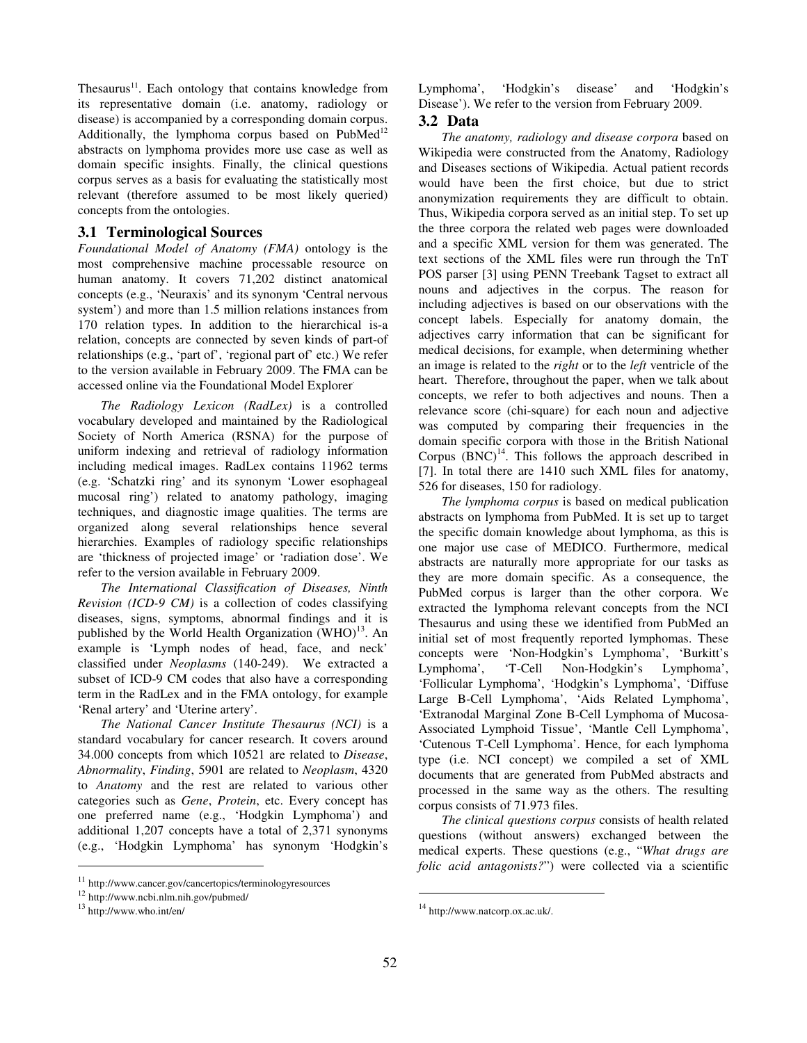Thesaurus $11$ . Each ontology that contains knowledge from its representative domain (i.e. anatomy, radiology or disease) is accompanied by a corresponding domain corpus. Additionally, the lymphoma corpus based on  $PubMed<sup>12</sup>$ abstracts on lymphoma provides more use case as well as domain specific insights. Finally, the clinical questions corpus serves as a basis for evaluating the statistically most relevant (therefore assumed to be most likely queried) concepts from the ontologies.

#### **3.1 Terminological Sources**

*Foundational Model of Anatomy (FMA)* ontology is the most comprehensive machine processable resource on human anatomy. It covers 71,202 distinct anatomical concepts (e.g., 'Neuraxis' and its synonym 'Central nervous system') and more than 1.5 million relations instances from 170 relation types. In addition to the hierarchical is-a relation, concepts are connected by seven kinds of part-of relationships (e.g., 'part of', 'regional part of' etc.) We refer to the version available in February 2009. The FMA can be accessed online via the Foundational Model Explorer<sup>.</sup>

*The Radiology Lexicon (RadLex)* is a controlled vocabulary developed and maintained by the Radiological Society of North America (RSNA) for the purpose of uniform indexing and retrieval of radiology information including medical images. RadLex contains 11962 terms (e.g. 'Schatzki ring' and its synonym 'Lower esophageal mucosal ring') related to anatomy pathology, imaging techniques, and diagnostic image qualities. The terms are organized along several relationships hence several hierarchies. Examples of radiology specific relationships are 'thickness of projected image' or 'radiation dose'. We refer to the version available in February 2009.

*The International Classification of Diseases, Ninth Revision (ICD-9 CM)* is a collection of codes classifying diseases, signs, symptoms, abnormal findings and it is published by the World Health Organization  $(WHO)^{13}$ . An example is 'Lymph nodes of head, face, and neck' classified under *Neoplasms* (140-249). We extracted a subset of ICD-9 CM codes that also have a corresponding term in the RadLex and in the FMA ontology, for example 'Renal artery' and 'Uterine artery'.

*The National Cancer Institute Thesaurus (NCI)* is a standard vocabulary for cancer research. It covers around 34.000 concepts from which 10521 are related to *Disease*, *Abnormality*, *Finding*, 5901 are related to *Neoplasm*, 4320 to *Anatomy* and the rest are related to various other categories such as *Gene*, *Protein*, etc. Every concept has one preferred name (e.g., 'Hodgkin Lymphoma') and additional 1,207 concepts have a total of 2,371 synonyms (e.g., 'Hodgkin Lymphoma' has synonym 'Hodgkin's

j

Lymphoma', 'Hodgkin's disease' and 'Hodgkin's Disease'). We refer to the version from February 2009.

# **3.2 Data**

*The anatomy, radiology and disease corpora* based on Wikipedia were constructed from the Anatomy, Radiology and Diseases sections of Wikipedia. Actual patient records would have been the first choice, but due to strict anonymization requirements they are difficult to obtain. Thus, Wikipedia corpora served as an initial step. To set up the three corpora the related web pages were downloaded and a specific XML version for them was generated. The text sections of the XML files were run through the TnT POS parser [3] using PENN Treebank Tagset to extract all nouns and adjectives in the corpus. The reason for including adjectives is based on our observations with the concept labels. Especially for anatomy domain, the adjectives carry information that can be significant for medical decisions, for example, when determining whether an image is related to the *right* or to the *left* ventricle of the heart. Therefore, throughout the paper, when we talk about concepts, we refer to both adjectives and nouns. Then a relevance score (chi-square) for each noun and adjective was computed by comparing their frequencies in the domain specific corpora with those in the British National Corpus  $(BNC)^{14}$ . This follows the approach described in [7]. In total there are 1410 such XML files for anatomy, 526 for diseases, 150 for radiology.

*The lymphoma corpus* is based on medical publication abstracts on lymphoma from PubMed. It is set up to target the specific domain knowledge about lymphoma, as this is one major use case of MEDICO. Furthermore, medical abstracts are naturally more appropriate for our tasks as they are more domain specific. As a consequence, the PubMed corpus is larger than the other corpora. We extracted the lymphoma relevant concepts from the NCI Thesaurus and using these we identified from PubMed an initial set of most frequently reported lymphomas. These concepts were 'Non-Hodgkin's Lymphoma', 'Burkitt's Lymphoma', 'T-Cell Non-Hodgkin's Lymphoma', 'Follicular Lymphoma', 'Hodgkin's Lymphoma', 'Diffuse Large B-Cell Lymphoma', 'Aids Related Lymphoma', 'Extranodal Marginal Zone B-Cell Lymphoma of Mucosa-Associated Lymphoid Tissue', 'Mantle Cell Lymphoma', 'Cutenous T-Cell Lymphoma'. Hence, for each lymphoma type (i.e. NCI concept) we compiled a set of XML documents that are generated from PubMed abstracts and processed in the same way as the others. The resulting corpus consists of 71.973 files.

*The clinical questions corpus* consists of health related questions (without answers) exchanged between the medical experts. These questions (e.g., "*What drugs are folic acid antagonists?*") were collected via a scientific

j

<sup>11</sup> http://www.cancer.gov/cancertopics/terminologyresources

<sup>12</sup> http://www.ncbi.nlm.nih.gov/pubmed/

<sup>13</sup> http://www.who.int/en/

<sup>14</sup> http://www.natcorp.ox.ac.uk/.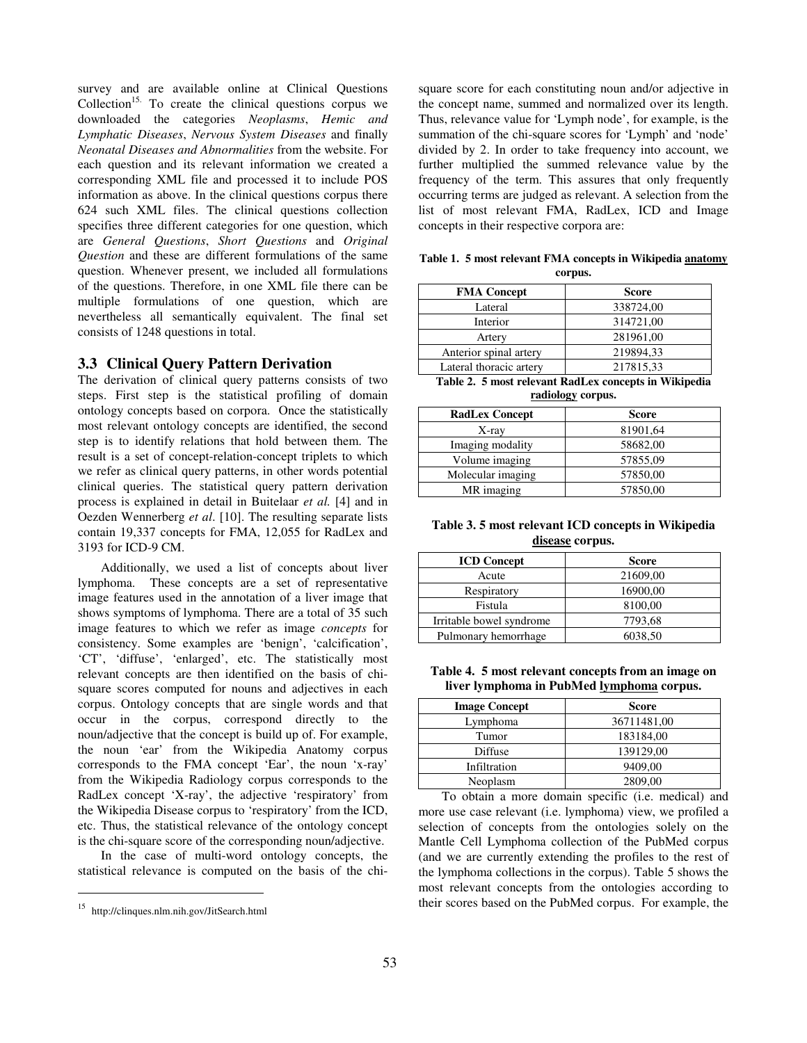survey and are available online at Clinical Questions  $Collection<sup>15</sup>$ . To create the clinical questions corpus we downloaded the categories *Neoplasms*, *Hemic and Lymphatic Diseases*, *Nervous System Diseases* and finally *Neonatal Diseases and Abnormalities* from the website. For each question and its relevant information we created a corresponding XML file and processed it to include POS information as above. In the clinical questions corpus there 624 such XML files. The clinical questions collection specifies three different categories for one question, which are *General Questions*, *Short Questions* and *Original Question* and these are different formulations of the same question. Whenever present, we included all formulations of the questions. Therefore, in one XML file there can be multiple formulations of one question, which are nevertheless all semantically equivalent. The final set consists of 1248 questions in total.

#### **3.3 Clinical Query Pattern Derivation**

The derivation of clinical query patterns consists of two steps. First step is the statistical profiling of domain ontology concepts based on corpora. Once the statistically most relevant ontology concepts are identified, the second step is to identify relations that hold between them. The result is a set of concept-relation-concept triplets to which we refer as clinical query patterns, in other words potential clinical queries. The statistical query pattern derivation process is explained in detail in Buitelaar *et al.* [4] and in Oezden Wennerberg *et al*. [10]. The resulting separate lists contain 19,337 concepts for FMA, 12,055 for RadLex and 3193 for ICD-9 CM.

Additionally, we used a list of concepts about liver lymphoma. These concepts are a set of representative image features used in the annotation of a liver image that shows symptoms of lymphoma. There are a total of 35 such image features to which we refer as image *concepts* for consistency. Some examples are 'benign', 'calcification', 'CT', 'diffuse', 'enlarged', etc. The statistically most relevant concepts are then identified on the basis of chisquare scores computed for nouns and adjectives in each corpus. Ontology concepts that are single words and that occur in the corpus, correspond directly to the noun/adjective that the concept is build up of. For example, the noun 'ear' from the Wikipedia Anatomy corpus corresponds to the FMA concept 'Ear', the noun 'x-ray' from the Wikipedia Radiology corpus corresponds to the RadLex concept 'X-ray', the adjective 'respiratory' from the Wikipedia Disease corpus to 'respiratory' from the ICD, etc. Thus, the statistical relevance of the ontology concept is the chi-square score of the corresponding noun/adjective.

In the case of multi-word ontology concepts, the statistical relevance is computed on the basis of the chi-

j

square score for each constituting noun and/or adjective in the concept name, summed and normalized over its length. Thus, relevance value for 'Lymph node', for example, is the summation of the chi-square scores for 'Lymph' and 'node' divided by 2. In order to take frequency into account, we further multiplied the summed relevance value by the frequency of the term. This assures that only frequently occurring terms are judged as relevant. A selection from the list of most relevant FMA, RadLex, ICD and Image concepts in their respective corpora are:

**Table 1. 5 most relevant FMA concepts in Wikipedia anatomy corpus.** 

| <b>Score</b> |  |
|--------------|--|
| 338724,00    |  |
| 314721,00    |  |
| 281961,00    |  |
| 219894,33    |  |
| 217815,33    |  |
|              |  |

**Table 2. 5 most relevant RadLex concepts in Wikipedia radiology corpus.** 

| <b>RadLex Concept</b> | <b>Score</b> |
|-----------------------|--------------|
| X-ray                 | 81901,64     |
| Imaging modality      | 58682,00     |
| Volume imaging        | 57855,09     |
| Molecular imaging     | 57850,00     |
| MR imaging            | 57850,00     |

**Table 3. 5 most relevant ICD concepts in Wikipedia disease corpus.** 

| <b>ICD Concept</b>       | <b>Score</b> |
|--------------------------|--------------|
| Acute                    | 21609,00     |
| Respiratory              | 16900,00     |
| Fistula                  | 8100,00      |
| Irritable bowel syndrome | 7793,68      |
| Pulmonary hemorrhage     | 6038,50      |

**Table 4. 5 most relevant concepts from an image on liver lymphoma in PubMed lymphoma corpus.** 

| <b>Image Concept</b> | <b>Score</b> |  |
|----------------------|--------------|--|
| Lymphoma             | 36711481,00  |  |
| Tumor                | 183184,00    |  |
| Diffuse              | 139129,00    |  |
| Infiltration         | 9409,00      |  |
| Neoplasm             | 2809,00      |  |

To obtain a more domain specific (i.e. medical) and more use case relevant (i.e. lymphoma) view, we profiled a selection of concepts from the ontologies solely on the Mantle Cell Lymphoma collection of the PubMed corpus (and we are currently extending the profiles to the rest of the lymphoma collections in the corpus). Table 5 shows the most relevant concepts from the ontologies according to their scores based on the PubMed corpus. For example, the

<sup>15</sup> http://clinques.nlm.nih.gov/JitSearch.html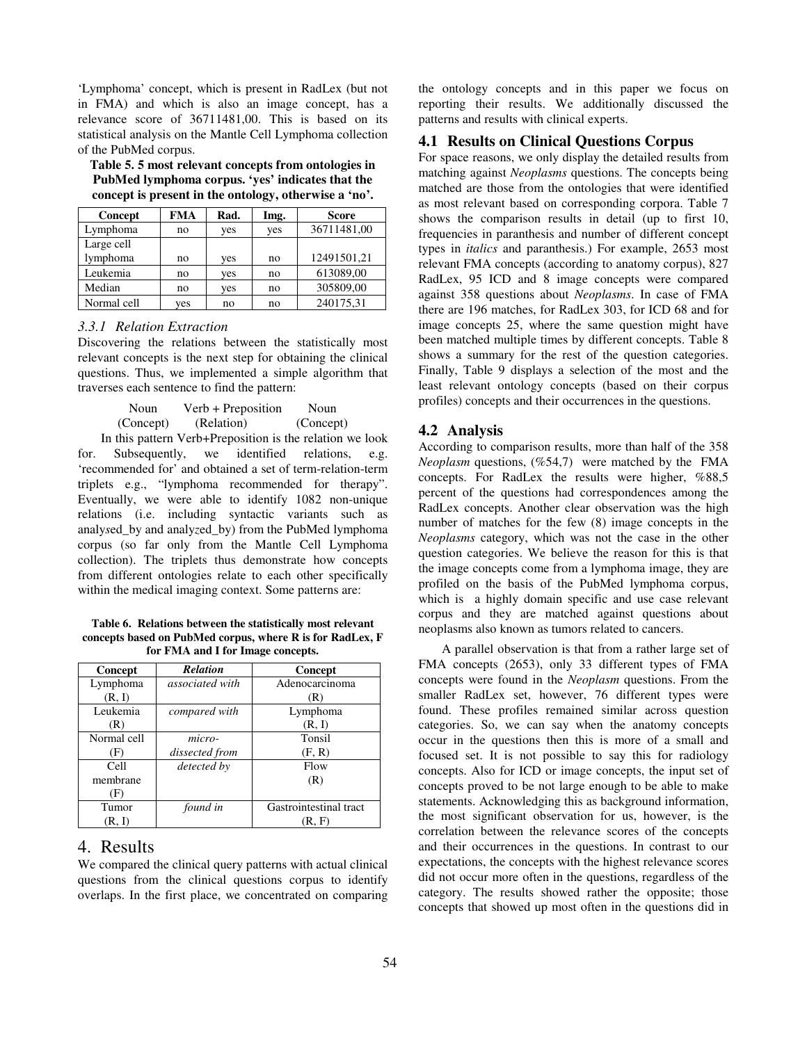'Lymphoma' concept, which is present in RadLex (but not in FMA) and which is also an image concept, has a relevance score of 36711481,00. This is based on its statistical analysis on the Mantle Cell Lymphoma collection of the PubMed corpus.

**Table 5. 5 most relevant concepts from ontologies in PubMed lymphoma corpus. 'yes' indicates that the concept is present in the ontology, otherwise a 'no'.** 

| Concept     | <b>FMA</b> | Rad. | Img. | <b>Score</b> |
|-------------|------------|------|------|--------------|
| Lymphoma    | no         | yes  | yes  | 36711481,00  |
| Large cell  |            |      |      |              |
| lymphoma    | no         | yes  | no   | 12491501,21  |
| Leukemia    | no         | yes  | no   | 613089,00    |
| Median      | no         | yes  | no   | 305809,00    |
| Normal cell | yes        | no   | no   | 240175,31    |

#### *3.3.1 Relation Extraction*

Discovering the relations between the statistically most relevant concepts is the next step for obtaining the clinical questions. Thus, we implemented a simple algorithm that traverses each sentence to find the pattern:

Noun Verb + Preposition Noun (Concept) (Relation) (Concept) In this pattern Verb+Preposition is the relation we look

for. Subsequently, we identified relations, e.g. 'recommended for' and obtained a set of term-relation-term triplets e.g., "lymphoma recommended for therapy". Eventually, we were able to identify 1082 non-unique relations (i.e. including syntactic variants such as analy*s*ed\_by and analy*z*ed\_by) from the PubMed lymphoma corpus (so far only from the Mantle Cell Lymphoma collection). The triplets thus demonstrate how concepts from different ontologies relate to each other specifically within the medical imaging context. Some patterns are:

**Table 6. Relations between the statistically most relevant concepts based on PubMed corpus, where R is for RadLex, F for FMA and I for Image concepts.** 

| Concept     | <b>Relation</b>        | Concept                |
|-------------|------------------------|------------------------|
| Lymphoma    | <i>associated with</i> | Adenocarcinoma         |
| (R, I)      |                        | (R)                    |
| Leukemia    | compared with          | Lymphoma               |
| (R)         |                        | (R, I)                 |
| Normal cell | micro-                 | Tonsil                 |
| (F)         | dissected from         | (F, R)                 |
| Cell        | detected by            | Flow                   |
| membrane    |                        | (R)                    |
| (F)         |                        |                        |
| Tumor       | found in               | Gastrointestinal tract |
| (R, I)      |                        | (R, F)                 |

# 4. Results

We compared the clinical query patterns with actual clinical questions from the clinical questions corpus to identify overlaps. In the first place, we concentrated on comparing the ontology concepts and in this paper we focus on reporting their results. We additionally discussed the patterns and results with clinical experts.

#### **4.1 Results on Clinical Questions Corpus**

For space reasons, we only display the detailed results from matching against *Neoplasms* questions. The concepts being matched are those from the ontologies that were identified as most relevant based on corresponding corpora. Table 7 shows the comparison results in detail (up to first 10, frequencies in paranthesis and number of different concept types in *italics* and paranthesis.) For example, 2653 most relevant FMA concepts (according to anatomy corpus), 827 RadLex, 95 ICD and 8 image concepts were compared against 358 questions about *Neoplasms*. In case of FMA there are 196 matches, for RadLex 303, for ICD 68 and for image concepts 25, where the same question might have been matched multiple times by different concepts. Table 8 shows a summary for the rest of the question categories. Finally, Table 9 displays a selection of the most and the least relevant ontology concepts (based on their corpus profiles) concepts and their occurrences in the questions.

#### **4.2 Analysis**

According to comparison results, more than half of the 358 *Neoplasm* questions, (%54,7) were matched by the FMA concepts. For RadLex the results were higher, %88,5 percent of the questions had correspondences among the RadLex concepts. Another clear observation was the high number of matches for the few (8) image concepts in the *Neoplasms* category, which was not the case in the other question categories. We believe the reason for this is that the image concepts come from a lymphoma image, they are profiled on the basis of the PubMed lymphoma corpus, which is a highly domain specific and use case relevant corpus and they are matched against questions about neoplasms also known as tumors related to cancers.

A parallel observation is that from a rather large set of FMA concepts (2653), only 33 different types of FMA concepts were found in the *Neoplasm* questions. From the smaller RadLex set, however, 76 different types were found. These profiles remained similar across question categories. So, we can say when the anatomy concepts occur in the questions then this is more of a small and focused set. It is not possible to say this for radiology concepts. Also for ICD or image concepts, the input set of concepts proved to be not large enough to be able to make statements. Acknowledging this as background information, the most significant observation for us, however, is the correlation between the relevance scores of the concepts and their occurrences in the questions. In contrast to our expectations, the concepts with the highest relevance scores did not occur more often in the questions, regardless of the category. The results showed rather the opposite; those concepts that showed up most often in the questions did in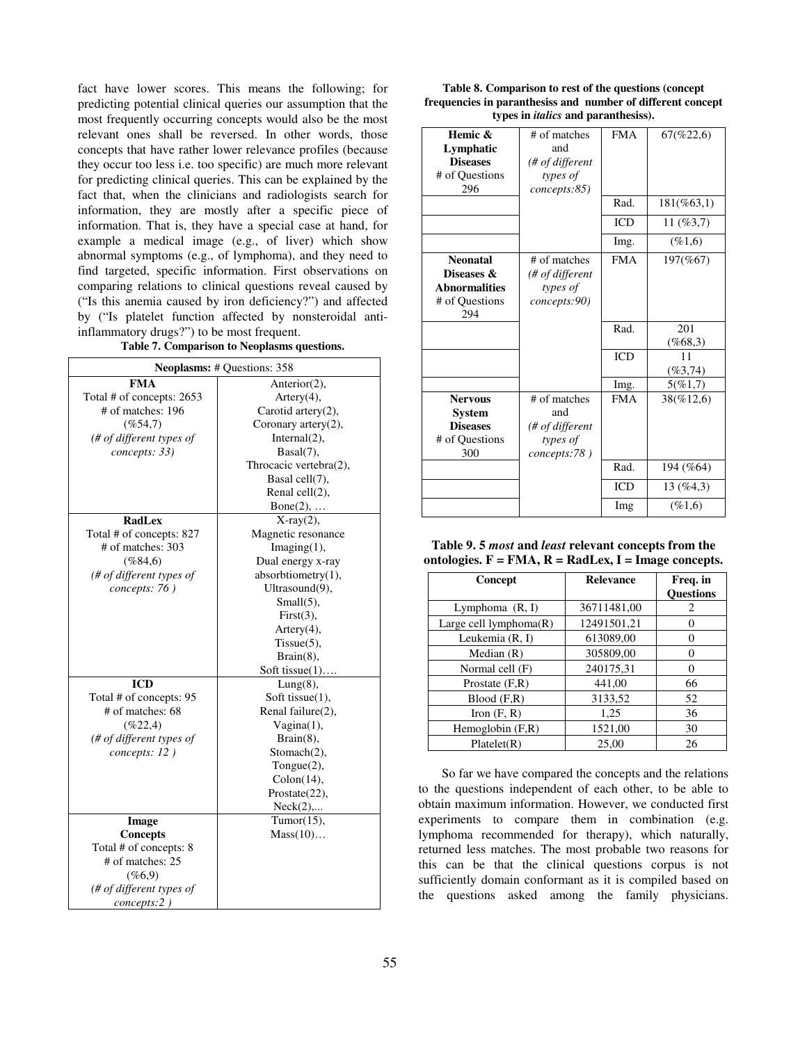fact have lower scores. This means the following; for predicting potential clinical queries our assumption that the most frequently occurring concepts would also be the most relevant ones shall be reversed. In other words, those concepts that have rather lower relevance profiles (because they occur too less i.e. too specific) are much more relevant for predicting clinical queries. This can be explained by the fact that, when the clinicians and radiologists search for information, they are mostly after a specific piece of information. That is, they have a special case at hand, for example a medical image (e.g., of liver) which show abnormal symptoms (e.g., of lymphoma), and they need to find targeted, specific information. First observations on comparing relations to clinical questions reveal caused by ("Is this anemia caused by iron deficiency?") and affected by ("Is platelet function affected by nonsteroidal antiinflammatory drugs?") to be most frequent.<br>Table 7 Comparison to Neoplasms on

| Table 7. Comparison to Neoplasms questions. |
|---------------------------------------------|

| <b>Neoplasms: # Questions: 358</b> |                        |  |  |
|------------------------------------|------------------------|--|--|
| FMA                                | Anterior(2),           |  |  |
| Total # of concepts: 2653          | $Artery(4)$ ,          |  |  |
| # of matches: 196                  | Carotid artery $(2)$ , |  |  |
| $(\%54,7)$                         | Coronary artery(2),    |  |  |
| (# of different types of           | Internal(2),           |  |  |
| concepts: 33)                      | Basal(7),              |  |  |
|                                    | Throcacic vertebra(2), |  |  |
|                                    | Basal cell(7),         |  |  |
|                                    | Renal cell(2),         |  |  |
|                                    | $Bone(2), \ldots$      |  |  |
| <b>RadLex</b>                      | $X-ray(2)$ ,           |  |  |
| Total # of concepts: 827           | Magnetic resonance     |  |  |
| # of matches: 303                  | $Imaging(1)$ ,         |  |  |
| (%84,6)                            | Dual energy x-ray      |  |  |
| (# of different types of           | absorbtiometry(1),     |  |  |
| concepts: 76)                      | Ultrasound(9),         |  |  |
|                                    | $Small(5)$ ,           |  |  |
|                                    | First(3),              |  |  |
|                                    | Artery(4),             |  |  |
|                                    | $Tissue(5)$ ,          |  |  |
|                                    | $Brain(8)$ ,           |  |  |
|                                    | Soft tissue $(1)$      |  |  |
| <b>ICD</b>                         | $Lung(8)$ ,            |  |  |
| Total # of concepts: 95            | Soft tissue(1),        |  |  |
| $#$ of matches: 68                 | Renal failure(2),      |  |  |
| (%22,4)                            | $Vagina(1)$ ,          |  |  |
| (# of different types of           | $Brain(8)$ ,           |  |  |
| concepts: 12)                      | Stomach(2),            |  |  |
|                                    | Tongue(2),             |  |  |
|                                    | Colon(14),             |  |  |
|                                    | Prostate $(22)$ ,      |  |  |
|                                    | Neck(2),               |  |  |
| Image                              | Tumor $(15)$ ,         |  |  |
| <b>Concepts</b>                    | Mass(10)               |  |  |
| Total # of concepts: 8             |                        |  |  |
| # of matches: 25                   |                        |  |  |
| (%6,9)                             |                        |  |  |
| (# of different types of           |                        |  |  |
| concepts:2)                        |                        |  |  |

| Table 8. Comparison to rest of the questions (concept)      |
|-------------------------------------------------------------|
| frequencies in paranthesiss and number of different concept |
| types in <i>italics</i> and paranthesiss).                  |

| Hemic &<br>Lymphatic<br><b>Diseases</b><br># of Questions                      | # of matches<br>and<br>(# of different<br>types of                 | <b>FMA</b> | 67(%22,6)         |
|--------------------------------------------------------------------------------|--------------------------------------------------------------------|------------|-------------------|
| 296                                                                            | concepts:85)                                                       | Rad.       | $181(\%63,1)$     |
|                                                                                |                                                                    | <b>ICD</b> | $11($ %3,7)       |
|                                                                                |                                                                    | Img.       | (%1,6)            |
| <b>Neonatal</b><br>Diseases &<br><b>Abnormalities</b><br># of Questions<br>294 | # of matches<br>(# of different<br>types of<br>concepts:90)        | <b>FMA</b> | 197(%67)          |
|                                                                                |                                                                    | Rad.       | 201<br>$(\%68,3)$ |
|                                                                                |                                                                    | <b>ICD</b> | 11<br>$(\%3,74)$  |
|                                                                                |                                                                    | Img.       | 5(%1,7)           |
| <b>Nervous</b><br><b>System</b><br><b>Diseases</b><br># of Questions<br>300    | # of matches<br>and<br>(# of different<br>types of<br>concepts:78) | <b>FMA</b> | 38(%12,6)         |
|                                                                                |                                                                    | Rad.       | 194 (%64)         |
|                                                                                |                                                                    | <b>ICD</b> | 13(%4,3)          |
|                                                                                |                                                                    | Img        | $(\%1,6)$         |

**Table 9. 5** *most* **and** *least* **relevant concepts from the ontologies. F = FMA, R = RadLex, I = Image concepts.** 

| Concept                | <b>Relevance</b> | Freq. in         |
|------------------------|------------------|------------------|
|                        |                  | <b>Ouestions</b> |
| Lymphoma $(R, I)$      | 36711481,00      | 2                |
| Large cell lymphoma(R) | 12491501,21      |                  |
| Leukemia (R, I)        | 613089,00        | 0                |
| Median $(R)$           | 305809.00        | 0                |
| Normal cell (F)        | 240175,31        | $\Omega$         |
| Prostate $(F,R)$       | 441,00           | 66               |
| Blood(F,R)             | 3133,52          | 52               |
| Iron $(F, R)$          | 1,25             | 36               |
| Hemoglobin $(F,R)$     | 1521,00          | 30               |
| Platelet(R)            | 25.00            | 26               |

So far we have compared the concepts and the relations to the questions independent of each other, to be able to obtain maximum information. However, we conducted first experiments to compare them in combination (e.g. lymphoma recommended for therapy), which naturally, returned less matches. The most probable two reasons for this can be that the clinical questions corpus is not sufficiently domain conformant as it is compiled based on the questions asked among the family physicians.